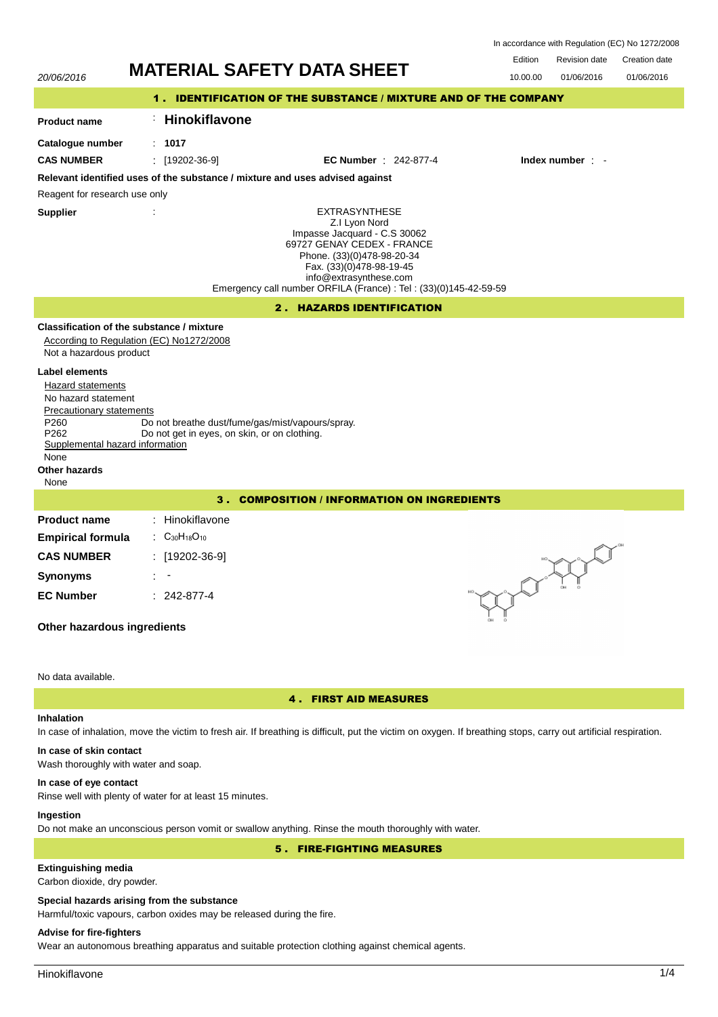In accordance with Regulation (EC) No 1272/2008

Edition Revision date Creation date



# 4 . FIRST AID MEASURES

# **Inhalation**

In case of inhalation, move the victim to fresh air. If breathing is difficult, put the victim on oxygen. If breathing stops, carry out artificial respiration.

# **In case of skin contact**

Wash thoroughly with water and soap.

#### **In case of eye contact**

Rinse well with plenty of water for at least 15 minutes.

## **Ingestion**

Do not make an unconscious person vomit or swallow anything. Rinse the mouth thoroughly with water.

## 5 . FIRE-FIGHTING MEASURES

# **Extinguishing media**

Carbon dioxide, dry powder.

#### **Special hazards arising from the substance**

Harmful/toxic vapours, carbon oxides may be released during the fire.

## **Advise for fire-fighters**

Wear an autonomous breathing apparatus and suitable protection clothing against chemical agents.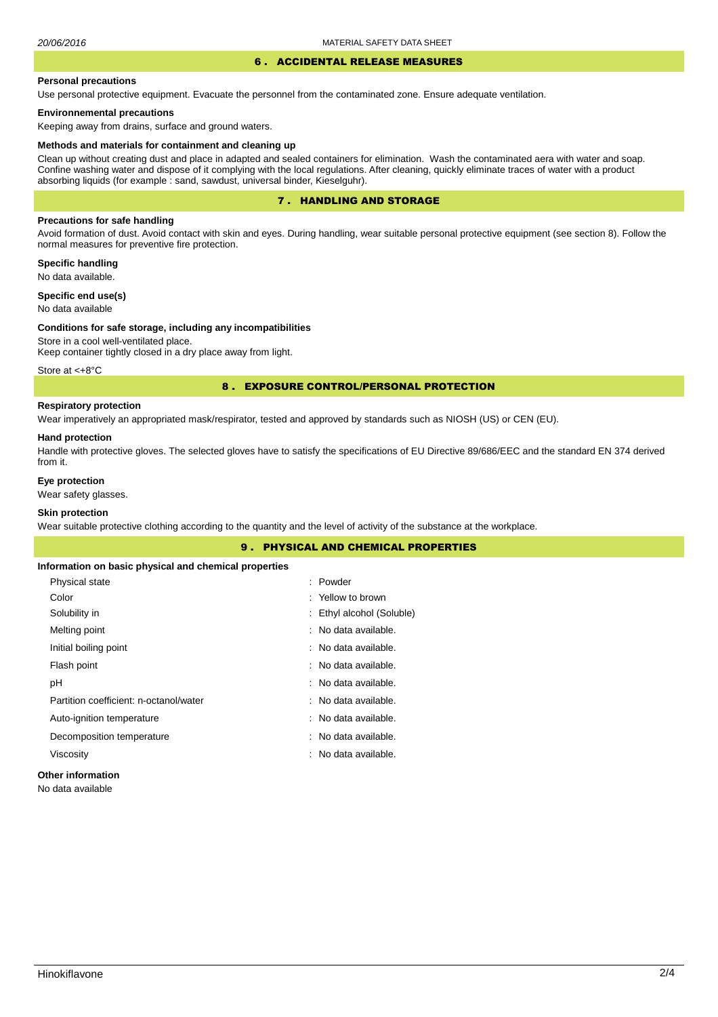#### 6 . ACCIDENTAL RELEASE MEASURES

#### **Personal precautions**

Use personal protective equipment. Evacuate the personnel from the contaminated zone. Ensure adequate ventilation.

## **Environnemental precautions**

Keeping away from drains, surface and ground waters.

#### **Methods and materials for containment and cleaning up**

Clean up without creating dust and place in adapted and sealed containers for elimination. Wash the contaminated aera with water and soap. Confine washing water and dispose of it complying with the local regulations. After cleaning, quickly eliminate traces of water with a product absorbing liquids (for example : sand, sawdust, universal binder, Kieselguhr).

## 7 . HANDLING AND STORAGE

## **Precautions for safe handling**

Avoid formation of dust. Avoid contact with skin and eyes. During handling, wear suitable personal protective equipment (see section 8). Follow the normal measures for preventive fire protection.

**Specific handling** No data available.

**Specific end use(s)**

# No data available

#### **Conditions for safe storage, including any incompatibilities**

Store in a cool well-ventilated place. Keep container tightly closed in a dry place away from light.

Store at <+8°C

## 8 . EXPOSURE CONTROL/PERSONAL PROTECTION

# **Respiratory protection**

Wear imperatively an appropriated mask/respirator, tested and approved by standards such as NIOSH (US) or CEN (EU).

#### **Hand protection**

Handle with protective gloves. The selected gloves have to satisfy the specifications of EU Directive 89/686/EEC and the standard EN 374 derived from it.

## **Eye protection**

Wear safety glasses.

## **Skin protection**

Wear suitable protective clothing according to the quantity and the level of activity of the substance at the workplace.

|                                                       | <b>9. PHYSICAL AND CHEMICAL PROPERTIES</b> |
|-------------------------------------------------------|--------------------------------------------|
| Information on basic physical and chemical properties |                                            |
| Physical state                                        | : Powder                                   |
| Color                                                 | : Yellow to brown                          |
| Solubility in                                         | : Ethyl alcohol (Soluble)                  |
| Melting point                                         | : No data available.                       |
| Initial boiling point                                 | : No data available.                       |
| Flash point                                           | : No data available.                       |
| рH                                                    | : No data available.                       |
| Partition coefficient: n-octanol/water                | : No data available.                       |
| Auto-ignition temperature                             | : No data available.                       |
| Decomposition temperature                             | : No data available.                       |
| Viscosity                                             | : No data available.                       |
| <b>Other information</b>                              |                                            |

No data available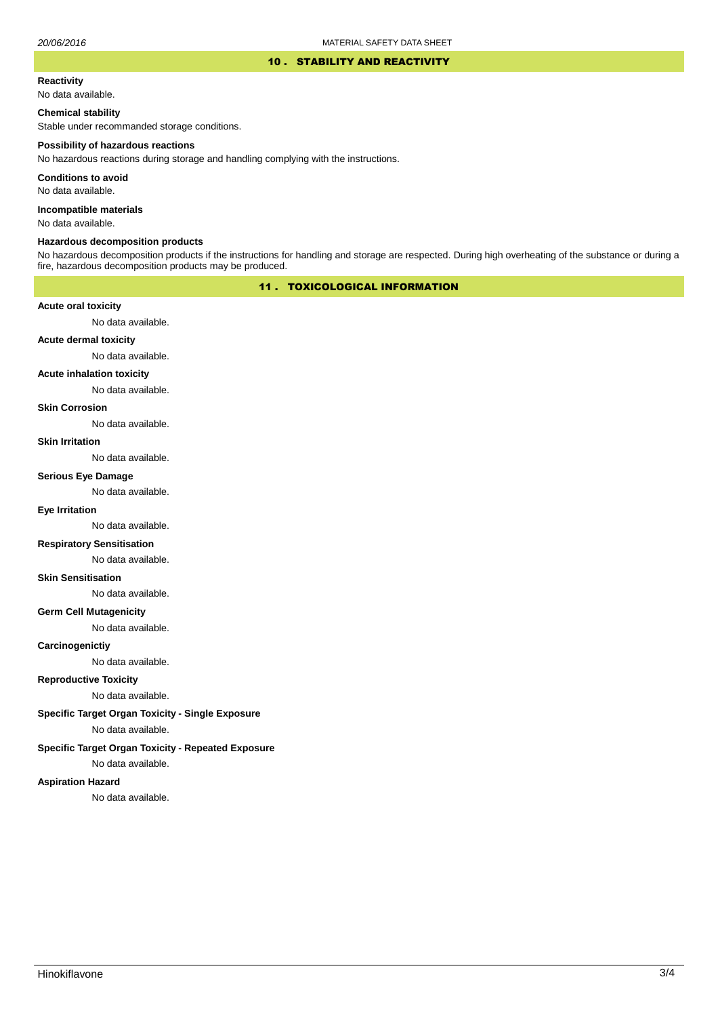#### 10 . STABILITY AND REACTIVITY

#### **Reactivity**

No data available.

## **Chemical stability**

Stable under recommanded storage conditions.

#### **Possibility of hazardous reactions**

No hazardous reactions during storage and handling complying with the instructions.

**Conditions to avoid**

No data available.

**Incompatible materials**

No data available.

## **Hazardous decomposition products**

No hazardous decomposition products if the instructions for handling and storage are respected. During high overheating of the substance or during a fire, hazardous decomposition products may be produced.

## 11 . TOXICOLOGICAL INFORMATION

## **Acute oral toxicity**

No data available.

# **Acute dermal toxicity**

No data available.

#### **Acute inhalation toxicity**

No data available.

## **Skin Corrosion**

No data available.

#### **Skin Irritation**

No data available.

# **Serious Eye Damage**

No data available.

# **Eye Irritation**

No data available.

## **Respiratory Sensitisation**

No data available.

#### **Skin Sensitisation**

No data available.

## **Germ Cell Mutagenicity**

No data available.

## **Carcinogenictiy**

No data available.

## **Reproductive Toxicity**

No data available.

## **Specific Target Organ Toxicity - Single Exposure**

No data available.

## **Specific Target Organ Toxicity - Repeated Exposure**

No data available.

#### **Aspiration Hazard**

No data available.